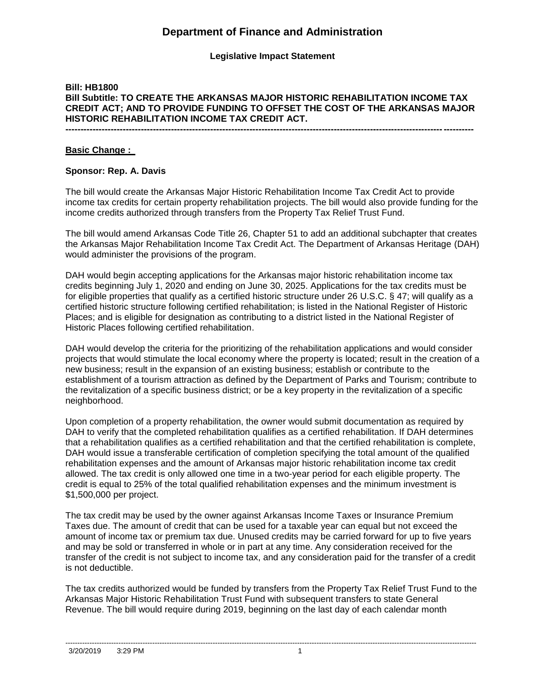## **Legislative Impact Statement**

## **Bill: HB1800 Bill Subtitle: TO CREATE THE ARKANSAS MAJOR HISTORIC REHABILITATION INCOME TAX CREDIT ACT; AND TO PROVIDE FUNDING TO OFFSET THE COST OF THE ARKANSAS MAJOR HISTORIC REHABILITATION INCOME TAX CREDIT ACT.**

**---------------------------------------------------------------------------------------------------------------------------------------**

#### **Basic Change :**

#### **Sponsor: Rep. A. Davis**

The bill would create the Arkansas Major Historic Rehabilitation Income Tax Credit Act to provide income tax credits for certain property rehabilitation projects. The bill would also provide funding for the income credits authorized through transfers from the Property Tax Relief Trust Fund.

The bill would amend Arkansas Code Title 26, Chapter 51 to add an additional subchapter that creates the Arkansas Major Rehabilitation Income Tax Credit Act. The Department of Arkansas Heritage (DAH) would administer the provisions of the program.

DAH would begin accepting applications for the Arkansas major historic rehabilitation income tax credits beginning July 1, 2020 and ending on June 30, 2025. Applications for the tax credits must be for eligible properties that qualify as a certified historic structure under 26 U.S.C. § 47; will qualify as a certified historic structure following certified rehabilitation; is listed in the National Register of Historic Places; and is eligible for designation as contributing to a district listed in the National Register of Historic Places following certified rehabilitation.

DAH would develop the criteria for the prioritizing of the rehabilitation applications and would consider projects that would stimulate the local economy where the property is located; result in the creation of a new business; result in the expansion of an existing business; establish or contribute to the establishment of a tourism attraction as defined by the Department of Parks and Tourism; contribute to the revitalization of a specific business district; or be a key property in the revitalization of a specific neighborhood.

Upon completion of a property rehabilitation, the owner would submit documentation as required by DAH to verify that the completed rehabilitation qualifies as a certified rehabilitation. If DAH determines that a rehabilitation qualifies as a certified rehabilitation and that the certified rehabilitation is complete, DAH would issue a transferable certification of completion specifying the total amount of the qualified rehabilitation expenses and the amount of Arkansas major historic rehabilitation income tax credit allowed. The tax credit is only allowed one time in a two-year period for each eligible property. The credit is equal to 25% of the total qualified rehabilitation expenses and the minimum investment is \$1,500,000 per project.

The tax credit may be used by the owner against Arkansas Income Taxes or Insurance Premium Taxes due. The amount of credit that can be used for a taxable year can equal but not exceed the amount of income tax or premium tax due. Unused credits may be carried forward for up to five years and may be sold or transferred in whole or in part at any time. Any consideration received for the transfer of the credit is not subject to income tax, and any consideration paid for the transfer of a credit is not deductible.

The tax credits authorized would be funded by transfers from the Property Tax Relief Trust Fund to the Arkansas Major Historic Rehabilitation Trust Fund with subsequent transfers to state General Revenue. The bill would require during 2019, beginning on the last day of each calendar month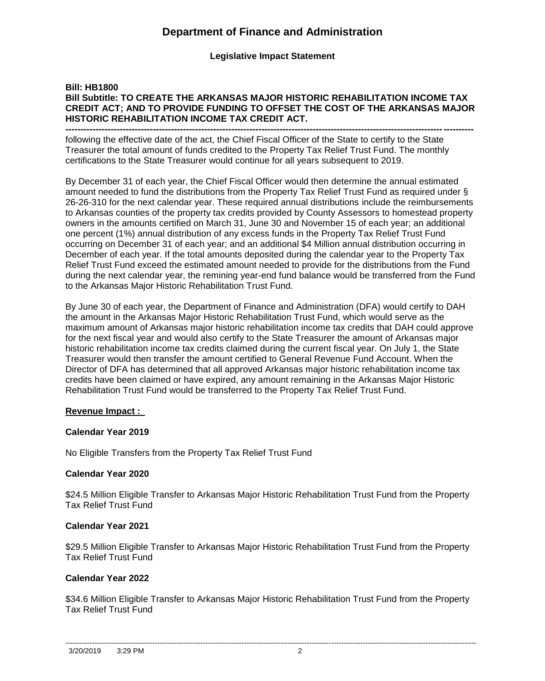**Legislative Impact Statement**

## **Bill: HB1800 Bill Subtitle: TO CREATE THE ARKANSAS MAJOR HISTORIC REHABILITATION INCOME TAX CREDIT ACT; AND TO PROVIDE FUNDING TO OFFSET THE COST OF THE ARKANSAS MAJOR HISTORIC REHABILITATION INCOME TAX CREDIT ACT.**

**--------------------------------------------------------------------------------------------------------------------------------------** following the effective date of the act, the Chief Fiscal Officer of the State to certify to the State Treasurer the total amount of funds credited to the Property Tax Relief Trust Fund. The monthly certifications to the State Treasurer would continue for all years subsequent to 2019.

By December 31 of each year, the Chief Fiscal Officer would then determine the annual estimated amount needed to fund the distributions from the Property Tax Relief Trust Fund as required under § 26-26-310 for the next calendar year. These required annual distributions include the reimbursements to Arkansas counties of the property tax credits provided by County Assessors to homestead property owners in the amounts certified on March 31, June 30 and November 15 of each year; an additional one percent (1%) annual distribution of any excess funds in the Property Tax Relief Trust Fund occurring on December 31 of each year; and an additional \$4 Million annual distribution occurring in December of each year. If the total amounts deposited during the calendar year to the Property Tax Relief Trust Fund exceed the estimated amount needed to provide for the distributions from the Fund during the next calendar year, the remining year-end fund balance would be transferred from the Fund to the Arkansas Major Historic Rehabilitation Trust Fund.

By June 30 of each year, the Department of Finance and Administration (DFA) would certify to DAH the amount in the Arkansas Major Historic Rehabilitation Trust Fund, which would serve as the maximum amount of Arkansas major historic rehabilitation income tax credits that DAH could approve for the next fiscal year and would also certify to the State Treasurer the amount of Arkansas major historic rehabilitation income tax credits claimed during the current fiscal year. On July 1, the State Treasurer would then transfer the amount certified to General Revenue Fund Account. When the Director of DFA has determined that all approved Arkansas major historic rehabilitation income tax credits have been claimed or have expired, any amount remaining in the Arkansas Major Historic Rehabilitation Trust Fund would be transferred to the Property Tax Relief Trust Fund.

## **Revenue Impact :**

## **Calendar Year 2019**

No Eligible Transfers from the Property Tax Relief Trust Fund

## **Calendar Year 2020**

\$24.5 Million Eligible Transfer to Arkansas Major Historic Rehabilitation Trust Fund from the Property Tax Relief Trust Fund

## **Calendar Year 2021**

\$29.5 Million Eligible Transfer to Arkansas Major Historic Rehabilitation Trust Fund from the Property Tax Relief Trust Fund

## **Calendar Year 2022**

\$34.6 Million Eligible Transfer to Arkansas Major Historic Rehabilitation Trust Fund from the Property Tax Relief Trust Fund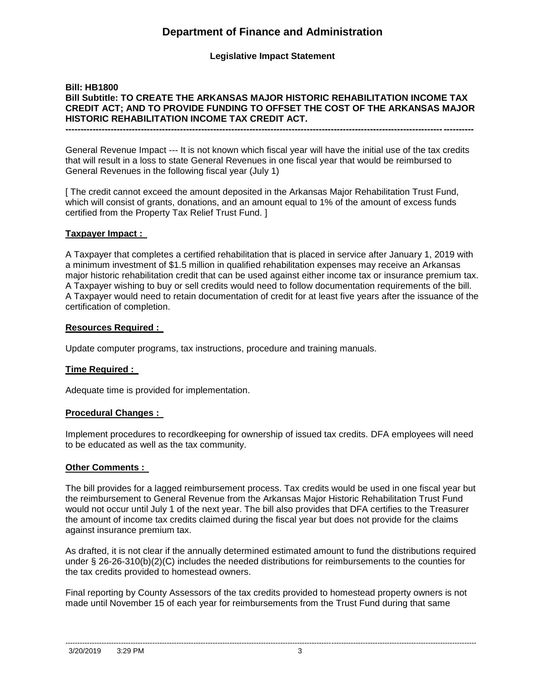## **Legislative Impact Statement**

### **Bill: HB1800 Bill Subtitle: TO CREATE THE ARKANSAS MAJOR HISTORIC REHABILITATION INCOME TAX CREDIT ACT; AND TO PROVIDE FUNDING TO OFFSET THE COST OF THE ARKANSAS MAJOR HISTORIC REHABILITATION INCOME TAX CREDIT ACT. ---------------------------------------------------------------------------------------------------------------------------------------**

General Revenue Impact --- It is not known which fiscal year will have the initial use of the tax credits that will result in a loss to state General Revenues in one fiscal year that would be reimbursed to General Revenues in the following fiscal year (July 1)

[ The credit cannot exceed the amount deposited in the Arkansas Major Rehabilitation Trust Fund, which will consist of grants, donations, and an amount equal to 1% of the amount of excess funds certified from the Property Tax Relief Trust Fund. ]

#### **Taxpayer Impact :**

A Taxpayer that completes a certified rehabilitation that is placed in service after January 1, 2019 with a minimum investment of \$1.5 million in qualified rehabilitation expenses may receive an Arkansas major historic rehabilitation credit that can be used against either income tax or insurance premium tax. A Taxpayer wishing to buy or sell credits would need to follow documentation requirements of the bill. A Taxpayer would need to retain documentation of credit for at least five years after the issuance of the certification of completion.

#### **Resources Required :**

Update computer programs, tax instructions, procedure and training manuals.

## **Time Required :**

Adequate time is provided for implementation.

#### **Procedural Changes :**

Implement procedures to recordkeeping for ownership of issued tax credits. DFA employees will need to be educated as well as the tax community.

## **Other Comments :**

The bill provides for a lagged reimbursement process. Tax credits would be used in one fiscal year but the reimbursement to General Revenue from the Arkansas Major Historic Rehabilitation Trust Fund would not occur until July 1 of the next year. The bill also provides that DFA certifies to the Treasurer the amount of income tax credits claimed during the fiscal year but does not provide for the claims against insurance premium tax.

As drafted, it is not clear if the annually determined estimated amount to fund the distributions required under § 26-26-310(b)(2)(C) includes the needed distributions for reimbursements to the counties for the tax credits provided to homestead owners.

Final reporting by County Assessors of the tax credits provided to homestead property owners is not made until November 15 of each year for reimbursements from the Trust Fund during that same

--------------------------------------------------------------------------------------------------------------------------------------------------------------------------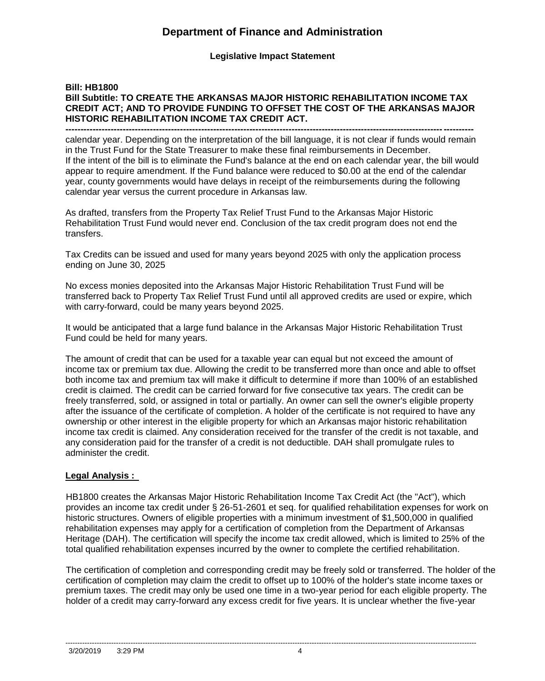## **Legislative Impact Statement**

## **Bill: HB1800 Bill Subtitle: TO CREATE THE ARKANSAS MAJOR HISTORIC REHABILITATION INCOME TAX CREDIT ACT; AND TO PROVIDE FUNDING TO OFFSET THE COST OF THE ARKANSAS MAJOR HISTORIC REHABILITATION INCOME TAX CREDIT ACT.**

**--------------------------------------------------------------------------------------------------------------------------------------** calendar year. Depending on the interpretation of the bill language, it is not clear if funds would remain in the Trust Fund for the State Treasurer to make these final reimbursements in December. If the intent of the bill is to eliminate the Fund's balance at the end on each calendar year, the bill would appear to require amendment. If the Fund balance were reduced to \$0.00 at the end of the calendar year, county governments would have delays in receipt of the reimbursements during the following calendar year versus the current procedure in Arkansas law.

As drafted, transfers from the Property Tax Relief Trust Fund to the Arkansas Major Historic Rehabilitation Trust Fund would never end. Conclusion of the tax credit program does not end the transfers.

Tax Credits can be issued and used for many years beyond 2025 with only the application process ending on June 30, 2025

No excess monies deposited into the Arkansas Major Historic Rehabilitation Trust Fund will be transferred back to Property Tax Relief Trust Fund until all approved credits are used or expire, which with carry-forward, could be many years beyond 2025.

It would be anticipated that a large fund balance in the Arkansas Major Historic Rehabilitation Trust Fund could be held for many years.

The amount of credit that can be used for a taxable year can equal but not exceed the amount of income tax or premium tax due. Allowing the credit to be transferred more than once and able to offset both income tax and premium tax will make it difficult to determine if more than 100% of an established credit is claimed. The credit can be carried forward for five consecutive tax years. The credit can be freely transferred, sold, or assigned in total or partially. An owner can sell the owner's eligible property after the issuance of the certificate of completion. A holder of the certificate is not required to have any ownership or other interest in the eligible property for which an Arkansas major historic rehabilitation income tax credit is claimed. Any consideration received for the transfer of the credit is not taxable, and any consideration paid for the transfer of a credit is not deductible. DAH shall promulgate rules to administer the credit.

## **Legal Analysis :**

HB1800 creates the Arkansas Major Historic Rehabilitation Income Tax Credit Act (the "Act"), which provides an income tax credit under § 26-51-2601 et seq. for qualified rehabilitation expenses for work on historic structures. Owners of eligible properties with a minimum investment of \$1,500,000 in qualified rehabilitation expenses may apply for a certification of completion from the Department of Arkansas Heritage (DAH). The certification will specify the income tax credit allowed, which is limited to 25% of the total qualified rehabilitation expenses incurred by the owner to complete the certified rehabilitation.

The certification of completion and corresponding credit may be freely sold or transferred. The holder of the certification of completion may claim the credit to offset up to 100% of the holder's state income taxes or premium taxes. The credit may only be used one time in a two-year period for each eligible property. The holder of a credit may carry-forward any excess credit for five years. It is unclear whether the five-year